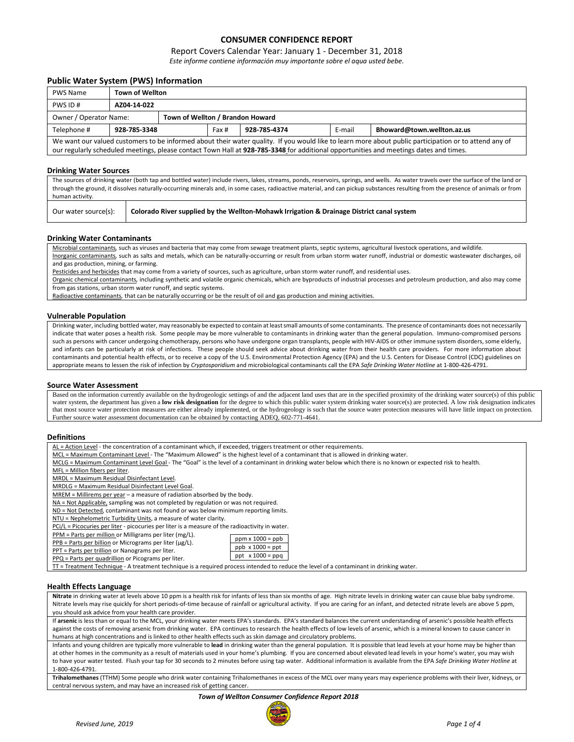# **CONSUMER CONFIDENCE REPORT**

## Report Covers Calendar Year: January 1 - December 31, 2018

*Este informe contiene información muy importante sobre el aqua usted bebe.*

## **Public Water System (PWS) Information**

| <b>PWS Name</b>                                                                                                                                       |             | <b>Town of Wellton</b> |  |  |  |  |  |
|-------------------------------------------------------------------------------------------------------------------------------------------------------|-------------|------------------------|--|--|--|--|--|
| PWS ID#                                                                                                                                               | AZ04-14-022 |                        |  |  |  |  |  |
| Town of Wellton / Brandon Howard<br>Owner / Operator Name:                                                                                            |             |                        |  |  |  |  |  |
| Bhoward@town.wellton.az.us<br>928-785-3348<br>928-785-4374<br>E-mail<br>Telephone #<br>Fax #                                                          |             |                        |  |  |  |  |  |
| We want our valued customers to be informed about their water quality. If you would like to learn more about public participation or to attend any of |             |                        |  |  |  |  |  |

our regularly scheduled meetings, please contact Town Hall at **928-785-3348** for additional opportunities and meetings dates and times.

#### **Drinking Water Sources**

The sources of drinking water (both tap and bottled water) include rivers, lakes, streams, ponds, reservoirs, springs, and wells. As water travels over the surface of the land or through the ground, it dissolves naturally-occurring minerals and, in some cases, radioactive material, and can pickup substances resulting from the presence of animals or from human activity.

| - Hullidii duuvilv.  |                                                                                           |
|----------------------|-------------------------------------------------------------------------------------------|
| Our water source(s): | Colorado River supplied by the Wellton-Mohawk Irrigation & Drainage District canal system |

#### **Drinking Water Contaminants**

Microbial contaminants*,* such as viruses and bacteria that may come from sewage treatment plants, septic systems, agricultural livestock operations, and wildlife*.* Inorganic contaminants*,* such as salts and metals, which can be naturally-occurring or result from urban storm water runoff, industrial or domestic wastewater discharges, oil and gas production, mining, or farming.

Pesticides and herbicides that may come from a variety of sources, such as agriculture, urban storm water runoff, and residential uses.

Organic chemical contaminants*,* including synthetic and volatile organic chemicals, which are byproducts of industrial processes and petroleum production, and also may come from gas stations, urban storm water runoff, and septic systems.

Radioactive contaminants*,* that can be naturally occurring or be the result of oil and gas production and mining activities.

#### **Vulnerable Population**

Drinking water, including bottled water, may reasonably be expected to contain at least small amounts of some contaminants. The presence of contaminants does not necessarily indicate that water poses a health risk. Some people may be more vulnerable to contaminants in drinking water than the general population. Immuno-compromised persons such as persons with cancer undergoing chemotherapy, persons who have undergone organ transplants, people with HIV-AIDS or other immune system disorders, some elderly, and infants can be particularly at risk of infections. These people should seek advice about drinking water from their health care providers. For more information about contaminants and potential health effects, or to receive a copy of the U.S. Environmental Protection Agency (EPA) and the U.S. Centers for Disease Control (CDC) guidelines on appropriate means to lessen the risk of infection by *Cryptosporidium* and microbiological contaminants call the EPA *Safe Drinking Water Hotline* at 1-800-426-4791.

#### **Source Water Assessment**

Based on the information currently available on the hydrogeologic settings of and the adjacent land uses that are in the specified proximity of the drinking water source(s) of this public water system, the department has given a low risk designation for the degree to which this public water system drinking water source(s) are protected. A low risk designation indicates that most source water protection measures are either already implemented, or the hydrogeology is such that the source water protection measures will have little impact on protection. Further source water assessment documentation can be obtained by contacting ADEQ, 602-771-4641.

#### **Definitions**

AL = Action Level - the concentration of a contaminant which, if exceeded, triggers treatment or other requirements.

- MCL = Maximum Contaminant Level The "Maximum Allowed" is the highest level of a contaminant that is allowed in drinking water.
- MCLG = Maximum Contaminant Level Goal- The "Goal" is the level of a contaminant in drinking water below which there is no known or expected risk to health.

 $ppm x 1000 = p$  $ppb \times 1000 = ppt$ ppt x 1000 = ppq

MFL = Million fibers per liter.

MRDL = Maximum Residual Disinfectant Level.

MRDLG = Maximum Residual Disinfectant Level Goal.

MREM = Millirems per year – a measure of radiation absorbed by the body.

NA = Not Applicable, sampling was not completed by regulation or was not required.

ND = Not Detected, contaminant was not found or was below minimum reporting limits.

NTU = Nephelometric Turbidity Units, a measure of water clarity.

PCi/L = Picocuries per liter - picocuries per liter is a measure of the radioactivity in water.

- PPM = Parts per million or Milligrams per liter (mg/L).
- per billion o

|      |  | $PPB$ = Parts per billion or Micrograms per liter ( $\mu$ g) |  |  |
|------|--|--------------------------------------------------------------|--|--|
| ---- |  |                                                              |  |  |

| PPT = Parts per trillion or Nanograms per liter. |  |
|--------------------------------------------------|--|
|--------------------------------------------------|--|

PPQ = Parts per quadrillion or Picograms per liter.

TT = Treatment Technique - A treatment technique is a required process intended to reduce the level of a contaminant in drinking water.

## **Health Effects Language**

**Nitrate** in drinking water at levels above 10 ppm is a health risk for infants of less than six months of age. High nitrate levels in drinking water can cause blue baby syndrome. Nitrate levels may rise quickly for short periods-of-time because of rainfall or agricultural activity. If you are caring for an infant, and detected nitrate levels are above 5 ppm, you should ask advice from your health care provider.

If **arsenic** is less than or equal to the MCL, your drinking water meets EPA's standards. EPA's standard balances the current understanding of arsenic's possible health effects against the costs of removing arsenic from drinking water. EPA continues to research the health effects of low levels of arsenic, which is a mineral known to cause cancer in humans at high concentrations and is linked to other health effects such as skin damage and circulatory problems.

Infants and young children are typically more vulnerable to **lead** in drinking water than the general population. It is possible that lead levels at your home may be higher than at other homes in the community as a result of materials used in your home's plumbing. If you are concerned about elevated lead levels in your home's water, you may wish to have your water tested. Flush your tap for 30 seconds to 2 minutes before using tap water. Additional information is available from the EPA *Safe Drinking Water Hotline* at 1-800-426-4791.

**Trihalomethanes** (TTHM) Some people who drink water containing Trihalomethanes in excess of the MCL over many years may experience problems with their liver, kidneys, or central nervous system, and may have an increased risk of getting cancer.

#### *Town of Wellton Consumer Confidence Report 2018*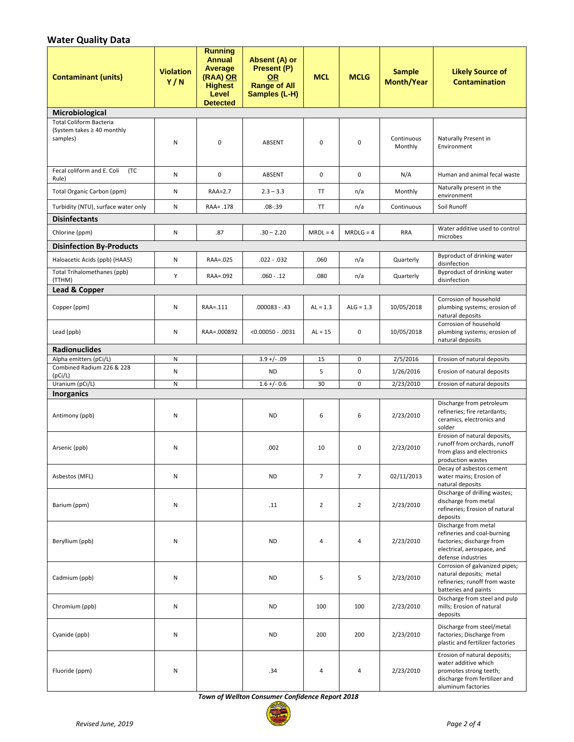# **Water Quality Data**

| <b>Contaminant (units)</b>                                                    | <b>Violation</b><br>Y/N | <b>Running</b><br><b>Annual</b><br>Average<br>(RAA) OR<br><b>Highest</b><br>Level<br><b>Detected</b> | Absent (A) or<br>Present (P)<br><b>OR</b><br><b>Range of All</b><br>Samples (L-H) | <b>MCL</b>     | <b>MCLG</b>    | <b>Sample</b><br><b>Month/Year</b> | <b>Likely Source of</b><br><b>Contamination</b>                                                                                       |
|-------------------------------------------------------------------------------|-------------------------|------------------------------------------------------------------------------------------------------|-----------------------------------------------------------------------------------|----------------|----------------|------------------------------------|---------------------------------------------------------------------------------------------------------------------------------------|
| Microbiological                                                               |                         |                                                                                                      |                                                                                   |                |                |                                    |                                                                                                                                       |
| <b>Total Coliform Bacteria</b><br>(System takes $\geq 40$ monthly<br>samples) | N                       | $\mathbf 0$                                                                                          | ABSENT                                                                            | $\mathbf 0$    | $\mathbf 0$    | Continuous<br>Monthly              | Naturally Present in<br>Environment                                                                                                   |
| Fecal coliform and E. Coli<br>(TC<br>Rule)                                    | N                       | $\pmb{0}$                                                                                            | ABSENT                                                                            | $\mathbf 0$    | $\mathbf 0$    | N/A                                | Human and animal fecal waste                                                                                                          |
| Total Organic Carbon (ppm)                                                    | N                       | RAA=2.7                                                                                              | $2.3 - 3.3$                                                                       | TT             | n/a            | Monthly                            | Naturally present in the<br>environment                                                                                               |
| Turbidity (NTU), surface water only                                           | N                       | RAA= .178                                                                                            | $.08 - .39$                                                                       | TT             | n/a            | Continuous                         | Soil Runoff                                                                                                                           |
| <b>Disinfectants</b>                                                          |                         |                                                                                                      |                                                                                   |                |                |                                    |                                                                                                                                       |
| Chlorine (ppm)                                                                | N                       | .87                                                                                                  | $.30 - 2.20$                                                                      | $MRDL = 4$     | $MRDLG = 4$    | <b>RRA</b>                         | Water additive used to control<br>microbes                                                                                            |
| <b>Disinfection By-Products</b>                                               |                         |                                                                                                      |                                                                                   |                |                |                                    |                                                                                                                                       |
| Haloacetic Acids (ppb) (HAA5)                                                 | N                       | RAA=.025                                                                                             | $.022 - .032$                                                                     | .060           | n/a            | Quarterly                          | Byproduct of drinking water<br>disinfection                                                                                           |
| Total Trihalomethanes (ppb)<br>(TTHM)                                         | Y                       | RAA=.092                                                                                             | $.060 - .12$                                                                      | .080           | n/a            | Quarterly                          | Byproduct of drinking water<br>disinfection                                                                                           |
| <b>Lead &amp; Copper</b>                                                      |                         |                                                                                                      |                                                                                   |                |                |                                    |                                                                                                                                       |
| Copper (ppm)                                                                  | N                       | RAA=.111                                                                                             | $.000083 - .43$                                                                   | $AL = 1.3$     | $ALG = 1.3$    | 10/05/2018                         | Corrosion of household<br>plumbing systems; erosion of<br>natural deposits                                                            |
| Lead (ppb)                                                                    | N                       | RAA=.000892                                                                                          | $< 0.00050 - .0031$                                                               | $AL = 15$      | 0              | 10/05/2018                         | Corrosion of household<br>plumbing systems; erosion of<br>natural deposits                                                            |
| <b>Radionuclides</b>                                                          |                         |                                                                                                      |                                                                                   |                |                |                                    |                                                                                                                                       |
| Alpha emitters (pCi/L)<br>Combined Radium 226 & 228                           | N                       |                                                                                                      | $3.9 + / - .09$                                                                   | 15             | 0              | 2/5/2016                           | Erosion of natural deposits                                                                                                           |
| (pCi/L)                                                                       | N                       |                                                                                                      | <b>ND</b>                                                                         | 5              | $\pmb{0}$      | 1/26/2016                          | Erosion of natural deposits                                                                                                           |
| Uranium (pCi/L)<br><b>Inorganics</b>                                          | N                       |                                                                                                      | $1.6 +/- 0.6$                                                                     | 30             | $\pmb{0}$      | 2/23/2010                          | Erosion of natural deposits                                                                                                           |
| Antimony (ppb)                                                                | N                       |                                                                                                      | <b>ND</b>                                                                         | 6              | 6              | 2/23/2010                          | Discharge from petroleum<br>refineries; fire retardants;<br>ceramics, electronics and<br>solder                                       |
| Arsenic (ppb)                                                                 | N                       |                                                                                                      | .002                                                                              | 10             | 0              | 2/23/2010                          | Erosion of natural deposits,<br>runoff from orchards, runoff<br>from glass and electronics<br>production wastes                       |
| Asbestos (MFL)                                                                | Ν                       |                                                                                                      | ND                                                                                | $\overline{7}$ | $\overline{7}$ | 02/11/2013                         | Decay of asbestos cement<br>water mains; Erosion of<br>natural deposits                                                               |
| Barium (ppm)                                                                  | Ν                       |                                                                                                      | .11                                                                               | $\overline{2}$ | $\overline{2}$ | 2/23/2010                          | Discharge of drilling wastes;<br>discharge from metal<br>refineries; Erosion of natural<br>deposits                                   |
| Beryllium (ppb)                                                               | Ν                       |                                                                                                      | <b>ND</b>                                                                         | 4              | 4              | 2/23/2010                          | Discharge from metal<br>refineries and coal-burning<br>factories; discharge from<br>electrical, aerospace, and<br>defense industries  |
| Cadmium (ppb)                                                                 | N                       |                                                                                                      | <b>ND</b>                                                                         | 5              | 5              | 2/23/2010                          | Corrosion of galvanized pipes;<br>natural deposits; metal<br>refineries; runoff from waste<br>batteries and paints                    |
| Chromium (ppb)                                                                | N                       |                                                                                                      | <b>ND</b>                                                                         | 100            | 100            | 2/23/2010                          | Discharge from steel and pulp<br>mills; Erosion of natural<br>deposits                                                                |
| Cyanide (ppb)                                                                 | N                       |                                                                                                      | <b>ND</b>                                                                         | 200            | 200            | 2/23/2010                          | Discharge from steel/metal<br>factories; Discharge from<br>plastic and fertilizer factories                                           |
| Fluoride (ppm)                                                                | N                       |                                                                                                      | .34                                                                               | 4              | $\overline{4}$ | 2/23/2010                          | Erosion of natural deposits;<br>water additive which<br>promotes strong teeth;<br>discharge from fertilizer and<br>aluminum factories |

*Town of Wellton Consumer Confidence Report 2018*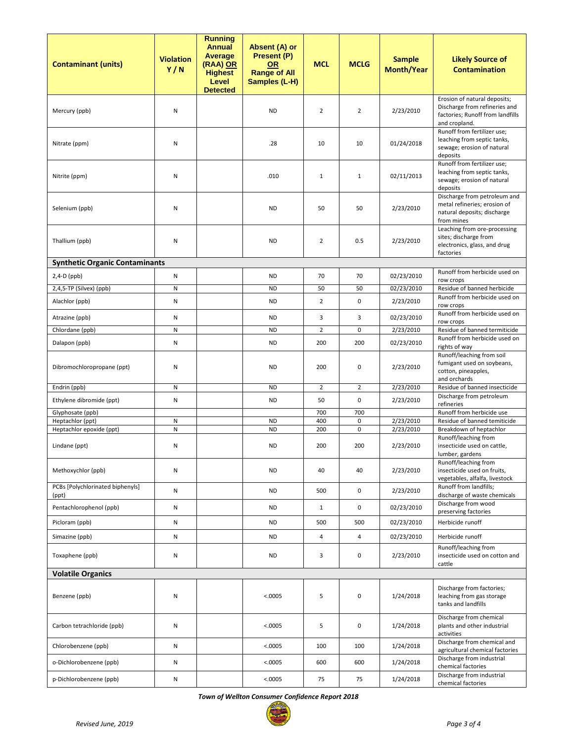| <b>Contaminant (units)</b>                   | <b>Violation</b><br>Y/N | <b>Running</b><br><b>Annual</b><br>Average<br>(RAA) OR<br><b>Highest</b><br>Level<br><b>Detected</b> | Absent (A) or<br>Present (P)<br><b>OR</b><br><b>Range of All</b><br>Samples (L-H) | <b>MCL</b>     | <b>MCLG</b>    | <b>Sample</b><br><b>Month/Year</b> | <b>Likely Source of</b><br><b>Contamination</b>                                                                    |
|----------------------------------------------|-------------------------|------------------------------------------------------------------------------------------------------|-----------------------------------------------------------------------------------|----------------|----------------|------------------------------------|--------------------------------------------------------------------------------------------------------------------|
| Mercury (ppb)                                | Ν                       |                                                                                                      | <b>ND</b>                                                                         | $\overline{2}$ | 2              | 2/23/2010                          | Erosion of natural deposits;<br>Discharge from refineries and<br>factories; Runoff from landfills<br>and cropland. |
| Nitrate (ppm)                                | Ν                       |                                                                                                      | .28                                                                               | 10             | 10             | 01/24/2018                         | Runoff from fertilizer use;<br>leaching from septic tanks,<br>sewage; erosion of natural<br>deposits               |
| Nitrite (ppm)                                | Ν                       |                                                                                                      | .010                                                                              | $\mathbf{1}$   | $\mathbf{1}$   | 02/11/2013                         | Runoff from fertilizer use;<br>leaching from septic tanks,<br>sewage; erosion of natural<br>deposits               |
| Selenium (ppb)                               | Ν                       |                                                                                                      | <b>ND</b>                                                                         | 50             | 50             | 2/23/2010                          | Discharge from petroleum and<br>metal refineries; erosion of<br>natural deposits; discharge<br>from mines          |
| Thallium (ppb)                               | N                       |                                                                                                      | <b>ND</b>                                                                         | $\overline{2}$ | 0.5            | 2/23/2010                          | Leaching from ore-processing<br>sites; discharge from<br>electronics, glass, and drug<br>factories                 |
| <b>Synthetic Organic Contaminants</b>        |                         |                                                                                                      |                                                                                   |                |                |                                    |                                                                                                                    |
| 2,4-D (ppb)                                  | N                       |                                                                                                      | <b>ND</b>                                                                         | 70             | 70             | 02/23/2010                         | Runoff from herbicide used on<br>row crops                                                                         |
| 2,4,5-TP (Silvex) (ppb)                      | Ν                       |                                                                                                      | <b>ND</b>                                                                         | 50             | 50             | 02/23/2010                         | Residue of banned herbicide                                                                                        |
| Alachlor (ppb)                               | Ν                       |                                                                                                      | <b>ND</b>                                                                         | 2              | 0              | 2/23/2010                          | Runoff from herbicide used on<br>row crops                                                                         |
| Atrazine (ppb)                               | Ν                       |                                                                                                      | <b>ND</b>                                                                         | 3              | 3              | 02/23/2010                         | Runoff from herbicide used on<br>row crops                                                                         |
| Chlordane (ppb)                              | N                       |                                                                                                      | <b>ND</b>                                                                         | $\overline{2}$ | 0              | 2/23/2010                          | Residue of banned termiticide                                                                                      |
| Dalapon (ppb)                                | N                       |                                                                                                      | <b>ND</b>                                                                         | 200            | 200            | 02/23/2010                         | Runoff from herbicide used on<br>rights of way                                                                     |
| Dibromochloropropane (ppt)                   | Ν                       |                                                                                                      | <b>ND</b>                                                                         | 200            | 0              | 2/23/2010                          | Runoff/leaching from soil<br>fumigant used on soybeans,<br>cotton, pineapples,<br>and orchards                     |
| Endrin (ppb)                                 | N                       |                                                                                                      | <b>ND</b>                                                                         | $\overline{2}$ | $\overline{2}$ | 2/23/2010                          | Residue of banned insecticide                                                                                      |
| Ethylene dibromide (ppt)                     | N                       |                                                                                                      | <b>ND</b>                                                                         | 50             | 0              | 2/23/2010                          | Discharge from petroleum<br>refineries                                                                             |
| Glyphosate (ppb)                             |                         |                                                                                                      |                                                                                   | 700            | 700            |                                    | Runoff from herbicide use                                                                                          |
| Heptachlor (ppt)<br>Heptachlor epoxide (ppt) | Ν<br>N                  |                                                                                                      | <b>ND</b><br><b>ND</b>                                                            | 400<br>200     | 0<br>0         | 2/23/2010<br>2/23/2010             | Residue of banned temiticide<br>Breakdown of heptachlor                                                            |
| Lindane (ppt)                                | Ν                       |                                                                                                      | <b>ND</b>                                                                         | 200            | 200            | 2/23/2010                          | Runoff/leaching from<br>insecticide used on cattle,<br>lumber, gardens                                             |
| Methoxychlor (ppb)                           | N                       |                                                                                                      | <b>ND</b>                                                                         | 40             | 40             | 2/23/2010                          | Runoff/leaching from<br>insecticide used on fruits,<br>vegetables, alfalfa, livestock                              |
| PCBs [Polychlorinated biphenyls]<br>(ppt)    | Ν                       |                                                                                                      | <b>ND</b>                                                                         | 500            | 0              | 2/23/2010                          | Runoff from landfills;<br>discharge of waste chemicals                                                             |
| Pentachlorophenol (ppb)                      | Ν                       |                                                                                                      | <b>ND</b>                                                                         | $\mathbf{1}$   | 0              | 02/23/2010                         | Discharge from wood<br>preserving factories                                                                        |
| Picloram (ppb)                               | Ν                       |                                                                                                      | <b>ND</b>                                                                         | 500            | 500            | 02/23/2010                         | Herbicide runoff                                                                                                   |
| Simazine (ppb)                               | N                       |                                                                                                      | <b>ND</b>                                                                         | 4              | 4              | 02/23/2010                         | Herbicide runoff                                                                                                   |
| Toxaphene (ppb)                              | Ν                       |                                                                                                      | <b>ND</b>                                                                         | 3              | 0              | 2/23/2010                          | Runoff/leaching from<br>insecticide used on cotton and<br>cattle                                                   |
| <b>Volatile Organics</b>                     |                         |                                                                                                      |                                                                                   |                |                |                                    |                                                                                                                    |
| Benzene (ppb)                                | Ν                       |                                                                                                      | < .0005                                                                           | 5              | 0              | 1/24/2018                          | Discharge from factories;<br>leaching from gas storage<br>tanks and landfills                                      |
| Carbon tetrachloride (ppb)                   | Ν                       |                                                                                                      | < .0005                                                                           | 5              | 0              | 1/24/2018                          | Discharge from chemical<br>plants and other industrial<br>activities                                               |
| Chlorobenzene (ppb)                          | N                       |                                                                                                      | < .0005                                                                           | 100            | 100            | 1/24/2018                          | Discharge from chemical and<br>agricultural chemical factories                                                     |
| o-Dichlorobenzene (ppb)                      | Ν                       |                                                                                                      | < .0005                                                                           | 600            | 600            | 1/24/2018                          | Discharge from industrial<br>chemical factories                                                                    |
| p-Dichlorobenzene (ppb)                      | N                       |                                                                                                      | < 0.0005                                                                          | 75             | 75             | 1/24/2018                          | Discharge from industrial<br>chemical factories                                                                    |

*Town of Wellton Consumer Confidence Report 2018*